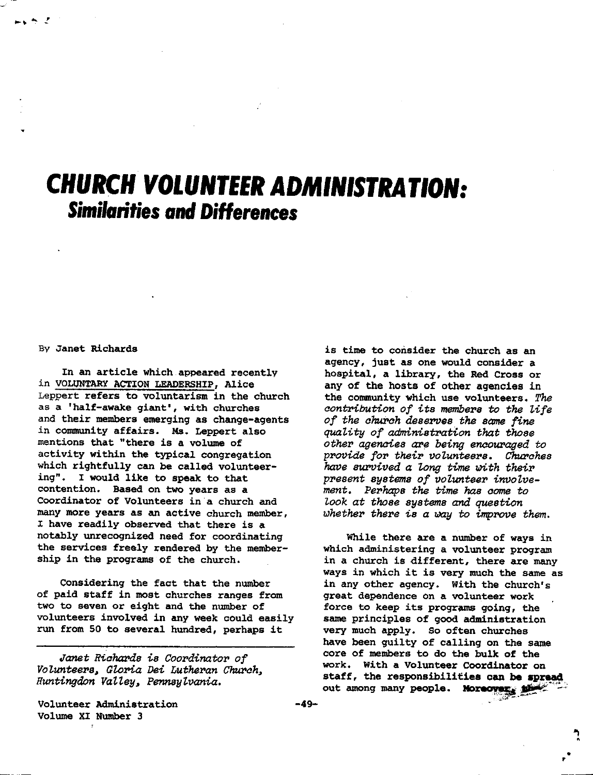## **CHURCH VOLUNTEER ADMINISTRATION:**  *Similarities and* **Differences**

## By Janet Richards

In an article which appeared recently in VOLUNTARY ACTION LEAOERSHIP, Alice Leppert refers to voluntarism in the church as a 'half-awake giant', with churches and their members emerging as change-agents in community affairs. Ms. Leppert also mentions that "there is **a** volume of activity within the typical congregation which rightfully can be called volunteering". I would like to **speak** to that contention. **Based** on two years as a Coordinator of Volunteers in a church and many more years as an active church member, I have readily observed that there is a notably unrecognized need for coordinating the services freely rendered by the membership in the programs of the church.

Considering the fact that the number of paid staff in most churches ranges from two to seven or eight and the number of volunteers involved in any week could easily run from 50 to several hundred, perhaps it

*.ranet Riohal'ds is Coordinator of VoZ.unteers, GZ.Ol'ia Dei Lutheran Church, Huntingdon Valley, Pennsylvania.* 

Volunteer Administration Volume XI Number 3

is time to consider the church as an agency, just as one would consider a hospital, **a** library, the Red Cross or any of the hosts of other **agencies** in the community which use volunteers. *The contribution of its members to the Z.ife of the church deserves the same fine quality of administrafion that those other agencies are being encouraged to provide for their voZ.unteers. Churohes have survived a Zong time i,n,th their present systems of volunteer involvement. Perhaps the time has come to Z.ook at those systems and question*  whether there is a way to improve them.

While there are a number of ways in which administering a volunteer program in a church is different, there are many ways in which it is very much the same as in any other agency. With the church's great dependence on a volunteer work force to keep its programs going, the same principles of good administration very much apply. So often churches have been guilty of calling on the same core of members to do the bulk of the work. With a Volunteer Coordinator on staff, the responsibilities can be spread out among many people. Moreover,

• •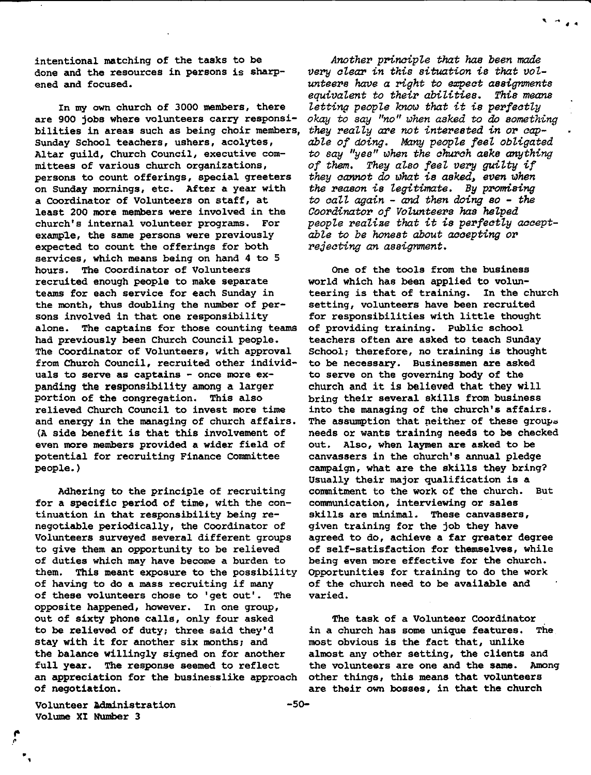intentional matching of the tasks to be done and the resources in persons is sharpened and focused.

In my own church of 3000 members, there are 900 jobs where volunteers carry responsibilities in **areas** such as being choir members, Sunday School teachers, ushers, acolytes, Altar guild, Church Council, executive committees of various church organizations, persons to count offerings, special greeters on Sunday mornings, etc. After a year with a Coordinator of Volunteers on staff, at least 200 more members were involved in the church's internal volunteer programs. For examp1e, the same persons were previously expected to count the offerings for both services, which means being on hand 4 to 5 hours. The Coordinator of Volunteers recruited enough people to make separate teams for each service for each Sunday in the month, thus doubling the number of persons involved in that one responsibility alone. The captains for those counting teams had previously been Church Council people. The Coordinator of Volunteers, with approval from Church Council, recruited other individuals to serve as captains - once more expanding the responsibility among a larger portion of the congregation. This also relieved Church Council to invest more time and energy in the managing of church affairs. (A side benefit is that this involvement of even more members provided a wider field of potential for recruiting Finance Committee people.)

Adhering to the principle of recruiting for a specific period of time, with the continuation in that responsibility being renegotiable periodically, the Coordinator of Volunteers surveyed several different groups to give them an opportunity to be relieved of duties which may have become a burden to them. This meant exposure to the possibility of having to do a mass recruiting if many of these volunteers chose to 'get out'. The opposite happened, however. In one group, out of sixty phone calls, only four asked to be relieved of duty; three said they'd stay with it for another six months; and the balance willingly signed on for another full year. The response seemed to reflect an appreciation for the businesslike approach of negotiation.

*Another principle that* has *been made very clear in this situation* is *that vol*wnteers have a right to expect assignments<br>equivalent to their abilities. This means *equivalent to their abilities. Thie means lettin,, people know that it* is *perfectly okay to say "no" when asked to do something*  they really are not interested in or cap*able of doing. Many people feel obligated to say "yes" when the church* asks *anything of them. They also feel very guiity if they cannot do what* is *asked, even when the reason* is *legitimate.* By *promising to call again* - *and then doing* so - *the Coordinator of Volunteers* has *he7,ped people reaZiae that it* is *perfectly acceptable to be honest about accepting or rejecting an assignment.* 

. . . . . *.* . . .

One of the tools from the business world which has been applied to volunteering is that of training. In the church setting, volunteers have been recruited for responsibilities with little thought of providing training. Public school teachers often are asked to teach Sunday School; therefore, no training is thought to be necessary. Businessmen are asked to serve on the governing body of the church and it is believed that they will bring their several skills from business into the managing of the church's affairs. The assumption that neither of these groups needs or wants training needs to be checked out. Also, when laymen are asked to be canvassers in the church's annual pledge campaign, what are the skills they bring? Usually their major qualification is **a**  commitment to the work of the church. But communication, interviewing or **sales**  skills are minimal. These canvassers, given training for the job they have agreed to do, achieve a far greater degree of self-satisfaction for themselves, while being even more effective for the church. Opportunities for training to do the work of the church need to be **available** and varied.

The task of a Volunteer Coordinator in a church has some unique features. The most obvious is the fact that, unlike almost any other setting, the clients and the volunteers are one and the same. Among other things, this means that volunteers are their own bosses, in that the church

Volunteer Administration Volume XI Number 3

• ,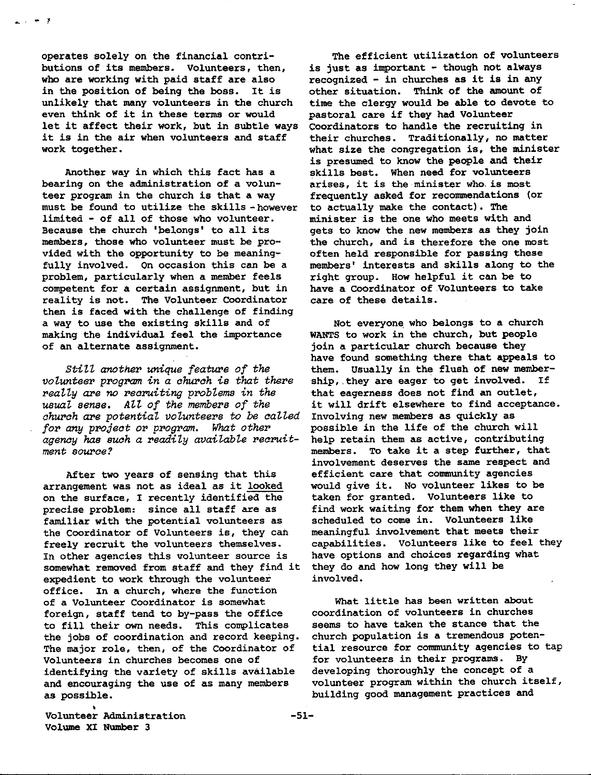operates solely on the financial contributions of its members. Volunteers, then, who are working with paid staff are also in the position of being the boss. It is unlikely that many volunteers in the church even think of it in these terms or would let it affect their work, but in subtle ways it is in the air when volunteers and staff work together.

- 1

Another way in which this fact has a bearing on the administration of a volunteer program in the church is that **a way**  must be found to utilize the skills - however limited - of all of those who volunteer. Because the church 'belongs' to all its members, those who volunteer must be provided with the opportunity to be meaningfully involved. On occasion this can be a problem, particularly when a member feels competent for a certain assignment, but in reality is not. The Volunteer Coordinator then is faced with the challenge of finding a way to use the existing skills and of making the individual feel the importance of an alternate assignment.

*StiZZ another unique feature of the volunteer program in a church is that there really are no recruiting prob'lems in the usuaZ sense. AZl of the members of the church are potential volunteers to be called for any project or program. What other agency has such a readily avaiZabZe recruitment source?* 

After two years of sensing that this arrangement was not as ideal as it looked on the surface, I recently identified the precise problem: since all staff are as familiar with the potential volunteers as the Coordinator of Volunteers is, they can freely recruit the volunteers themselves. In other agencies this volunteer source is somewhat removed from staff and they find it expedient to work through the volunteer office. In a church, where the function of a Volunteer Coordinator is somewhat foreign, staff tend to by-pass the office to fill their own needs. This complicates the jobs of coordination and record keeping. The major role, then, of the Coordinator of Volunteers in churches becomes one of identifying the variety of skills available and encouraging the use of as many members as possible.

The efficient utilization of volunteers is just as important - though not **always**  recognized - in churches as it is in any other situation. Think of the amount of time the clergy would be able to devote to pastoral care if they had Volunteer Coordinators to handle the recruiting in their churches. Traditionally, no matter what size the congregation is, the minister is presumed to know the people and their skills best. When need for volunteers arises, it is the minister who. is most frequently asked for recommendations (or to actually make the contact). The minister is the one who meets with and gets to know the new members as they join the church, and is therefore the one most often held responsible for passing these members' interests and skills along to the right group. How helpful it can be to have a coordinator of .Volunteers to take care of these details.

Not everyone who belongs to a church WANTS to work in the church, but people join a particular church **because** they have found something there that appeals to them. Usually in the flush of new membership, they are eager to get involved. If that eagerness does not find an outlet, it will drift elsewhere to find acceptance. Involving new members as quickly as possible in the life of the church will help retain them as active, contributing members. To take it a step further, that involvement deserves the same respect and efficient care that community agencies would give it. No volunteer likes to be taken for granted. Volunteers like to find work waiting for them when they are scheduled to come in. Volunteers like meaningful involvement that meets their capabilities. Volunteers like to feel they have options and choices regarding what they do and how long they will be involved.

What little has been written about coordination of volunteers in churches seems to have taken the stance that the church population is a tremendous potential resource for community agencies to tap for volunteers in their programs. By developing thoroughly the concept of a volunteer program within the church itself, building good management practices and

• Volunteer Administration -51- Volume XI Number 3